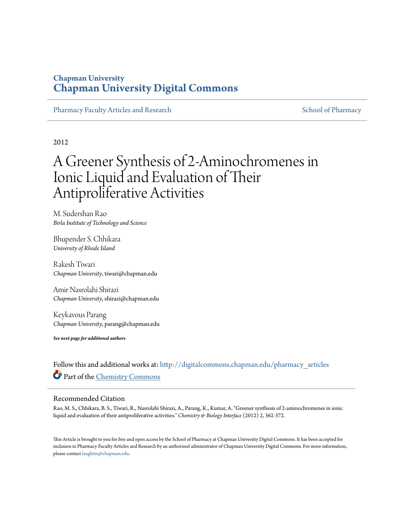# **Chapman University [Chapman University Digital Commons](http://digitalcommons.chapman.edu?utm_source=digitalcommons.chapman.edu%2Fpharmacy_articles%2F87&utm_medium=PDF&utm_campaign=PDFCoverPages)**

[Pharmacy Faculty Articles and Research](http://digitalcommons.chapman.edu/pharmacy_articles?utm_source=digitalcommons.chapman.edu%2Fpharmacy_articles%2F87&utm_medium=PDF&utm_campaign=PDFCoverPages) [School of Pharmacy](http://digitalcommons.chapman.edu/cusp?utm_source=digitalcommons.chapman.edu%2Fpharmacy_articles%2F87&utm_medium=PDF&utm_campaign=PDFCoverPages) School of Pharmacy

2012

# A Greener Synthesis of 2-Aminochromenes in Ionic Liquid and Evaluation of Their Antiproliferative Activities

M. Sudershan Rao *Birla Institute of Technology and Science*

Bhupender S. Chhikara *University of Rhode Island*

Rakesh Tiwari *Chapman University*, tiwari@chapman.edu

Amir Nasrolahi Shirazi *Chapman University*, shirazi@chapman.edu

Keykavous Parang *Chapman University*, parang@chapman.edu

*See next page for additional authors*

Follow this and additional works at: [http://digitalcommons.chapman.edu/pharmacy\\_articles](http://digitalcommons.chapman.edu/pharmacy_articles?utm_source=digitalcommons.chapman.edu%2Fpharmacy_articles%2F87&utm_medium=PDF&utm_campaign=PDFCoverPages) Part of the [Chemistry Commons](http://network.bepress.com/hgg/discipline/131?utm_source=digitalcommons.chapman.edu%2Fpharmacy_articles%2F87&utm_medium=PDF&utm_campaign=PDFCoverPages)

#### Recommended Citation

Rao, M. S., Chhikara, B. S., Tiwari, R., Nasrolahi Shirazi, A., Parang, K., Kumar, A. "Greener synthesis of 2-aminochromenes in ionic liquid and evaluation of their antiproliferative activities." *Chemistry & Biology Interface* (2012) 2, 362-372.

This Article is brought to you for free and open access by the School of Pharmacy at Chapman University Digital Commons. It has been accepted for inclusion in Pharmacy Faculty Articles and Research by an authorized administrator of Chapman University Digital Commons. For more information, please contact [laughtin@chapman.edu.](mailto:laughtin@chapman.edu)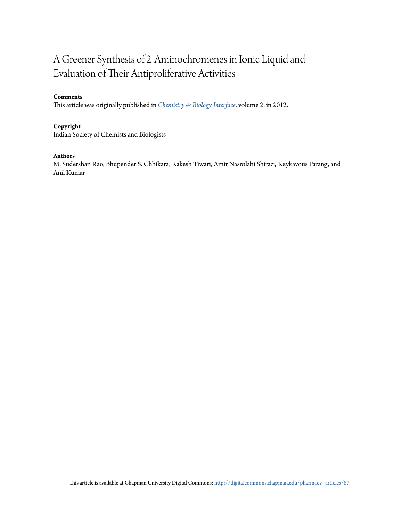# A Greener Synthesis of 2-Aminochromenes in Ionic Liquid and Evaluation of Their Antiproliferative Activities

#### **Comments**

This article was originally published in *[Chemistry & Biology Interface](http://www.cbijournal.com/index.php?option=com_content&view=article&id=23:november-december-2012-volume-2-no6&catid=4:archive&Itemid=8)*, volume 2, in 2012.

#### **Copyright**

Indian Society of Chemists and Biologists

#### **Authors**

M. Sudershan Rao, Bhupender S. Chhikara, Rakesh Tiwari, Amir Nasrolahi Shirazi, Keykavous Parang, and Anil Kumar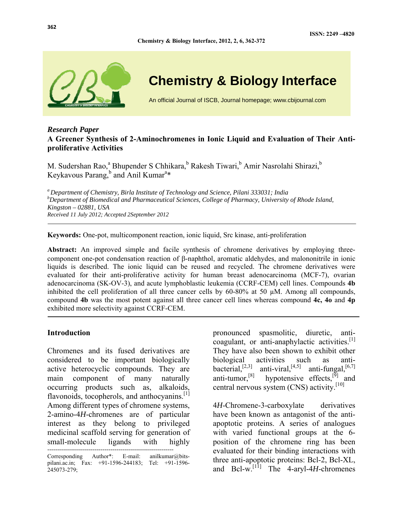

# **Chemistry & Biology Interface**

An official Journal of ISCB, Journal homepage; www.cbijournal.com

## *Research Paper*  **A Greener Synthesis of 2-Aminochromenes in Ionic Liquid and Evaluation of Their Antiproliferative Activities**

**Chemistry & Biology Interface, 2012, 2, 6, 362-372** 

M. Sudershan Rao,<sup>a</sup> Bhupender S Chhikara,<sup>b</sup> Rakesh Tiwari,<sup>b</sup> Amir Nasrolahi Shirazi,<sup>b</sup> Keykavous Parang,<sup>b</sup> and Anil Kumar<sup>a\*</sup>

*a Department of Chemistry, Birla Institute of Technology and Science, Pilani 333031; India b Department of Biomedical and Pharmaceutical Sciences, College of Pharmacy, University of Rhode Island, Kingston – 02881, USA Received 11 July 2012; Accepted 2September 2012* 

**Keywords:** One-pot, multicomponent reaction, ionic liquid, Src kinase, anti-proliferation

**Abstract:** An improved simple and facile synthesis of chromene derivatives by employing threecomponent one-pot condensation reaction of β-naphthol, aromatic aldehydes, and malononitrile in ionic liquids is described. The ionic liquid can be reused and recycled. The chromene derivatives were evaluated for their anti-proliferative activity for human breast adenocarcinoma (MCF-7), ovarian adenocarcinoma (SK-OV-3), and acute lymphoblastic leukemia (CCRF-CEM) cell lines. Compounds **4b**  inhibited the cell proliferation of all three cancer cells by 60-80% at 50 µM. Among all compounds, compound **4b** was the most potent against all three cancer cell lines whereas compound **4c, 4o** and **4p** exhibited more selectivity against CCRF-CEM.

#### **Introduction**

Chromenes and its fused derivatives are considered to be important biologically active heterocyclic compounds. They are main component of many naturally occurring products such as, alkaloids, flavonoids, tocopherols, and anthocyanins. $\left[1\right]$ Among different types of chromene systems, 2-amino-4*H*-chromenes are of particular interest as they belong to privileged medicinal scaffold serving for generation of small-molecule ligands with highly

----------------------------------------------------------------

pronounced spasmolitic, diuretic, anticoagulant, or anti-anaphylactic activities. $[1]$ They have also been shown to exhibit other biological activities such as anti-<br>bacterial,<sup>[2,3]</sup> anti-viral,<sup>[4,5]</sup> anti-fungal,<sup>[6,7]</sup> bacterial,<sup>[2,3]</sup> anti-viral,<sup>[4,5]</sup> anti-fungal,<sup>[6,7]</sup> anti-tumor,<sup>[8]</sup> hypotensive effects,<sup>[9]</sup> and hypotensive effects, $^{[9]}$  and central nervous system (CNS) activity.<sup>[10]</sup>

4*H*-Chromene-3-carboxylate derivatives have been known as antagonist of the antiapoptotic proteins. A series of analogues with varied functional groups at the 6 position of the chromene ring has been evaluated for their binding interactions with three anti-apoptotic proteins: Bcl-2, Bcl-XL, and Bcl-w.<sup>[11]</sup> The 4-aryl-4*H*-chromenes

Corresponding Author\*: E-mail: anilkumar@bitspilani.ac.in; Fax: +91-1596-244183; Tel: +91-1596- 245073-279;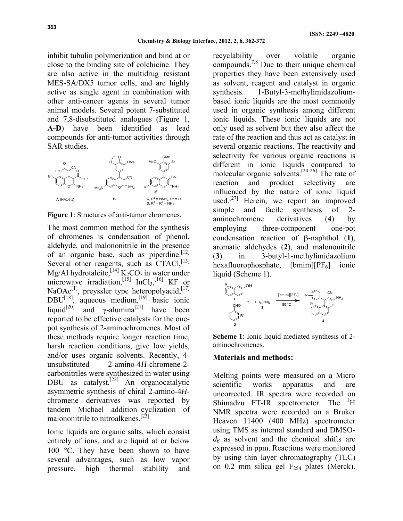inhibit tubulin polymerization and bind at or close to the binding site of colchicine. They are also active in the multidrug resistant MES-SA/DX5 tumor cells, and are highly active as single agent in combination with other anti-cancer agents in several tumor animal models. Several potent 7-substituted and 7,8-disubstituted analogues (Figure 1, **A-D**) have been identified as lead compounds for anti-tumor activities through SAR studies.



**Figure 1**: Structures of anti-tumor chromenes.

The most common method for the synthesis of chromenes is condensation of phenol, aldehyde, and malononitrile in the presence of an organic base, such as piperdine.<sup>[12]</sup> Several other reagents, such as  $CTACI$ ,  $^{[13]}$ Mg/Al hydrotalcite,  $^{[14]}$  K<sub>2</sub>CO<sub>3</sub> in water under microwave irradiation,  $^{[15]}$  InCl<sub>3</sub>,  $^{[16]}$  KF or NaOAc<sup>[1]</sup>, preyssler type heteropolyacid, [17]  $DBU^{[18]}$ , aqueous medium,<sup>[19]</sup> basic ionic liquid<sup>[20]</sup> and γ-alumina<sup>[21]</sup> have been reported to be effective catalysts for the onepot synthesis of 2-aminochromenes. Most of these methods require longer reaction time, harsh reaction conditions, give low yields, and/or uses organic solvents. Recently, 4 unsubstituted 2-amino-4*H*-chromene-2 carbonitriles were synthesized in water using DBU as catalyst.<sup>[22]</sup> An organocatalytic asymmetric synthesis of chiral 2-amino-4*H*chromene derivatives was reported by tandem Michael addition–cyclization of malononitrile to nitroalkenes.<sup>[23]</sup>

Ionic liquids are organic salts, which consist entirely of ions, and are liquid at or below 100 °C. They have been shown to have several advantages, such as low vapor pressure, high thermal stability and

recyclability over volatile organic compounds.7,8 Due to their unique chemical properties they have been extensively used as solvent, reagent and catalyst in organic synthesis. 1-Butyl-3-methylimidazoliumbased ionic liquids are the most commonly used in organic synthesis among different ionic liquids. These ionic liquids are not only used as solvent but they also affect the rate of the reaction and thus act as catalyst in several organic reactions. The reactivity and selectivity for various organic reactions is different in ionic liquids compared to molecular organic solvents.<sup>[24-26]</sup> The rate of reaction and product selectivity are influenced by the nature of ionic liquid used.<sup>[27]</sup> Herein, we report an improved simple and facile synthesis of 2 aminochromene derivatives (**4**) by employing three-component one-pot condensation reaction of β-naphthol (**1**), aromatic aldehydes (**2**), and malononitrile (**3**) in 3-butyl-1-methylimidazolium hexafluorophosphate,  $[bmin][PF_6]$  ionic liquid (Scheme 1).



**Scheme 1**: Ionic liquid mediated synthesis of 2 aminochromenes.

#### **Materials and methods:**

Melting points were measured on a Micro scientific works apparatus and are uncorrected. IR spectra were recorded on Shimadzu  $FT-IR$  spectrometer. The  ${}^{1}H$ NMR spectra were recorded on a Bruker Heaven 11400 (400 MHz) spectrometer using TMS as internal standard and DMSO*d6* as solvent and the chemical shifts are expressed in ppm. Reactions were monitored by using thin layer chromatography (TLC) on 0.2 mm silica gel  $F_{254}$  plates (Merck).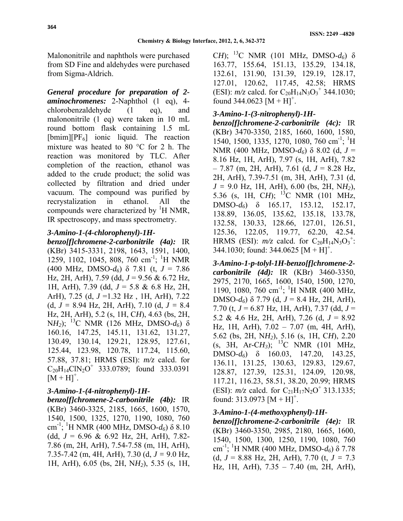Malononitrile and naphthols were purchased from SD Fine and aldehydes were purchased from Sigma-Aldrich.

*General procedure for preparation of 2 aminochromenes:* 2-Naphthol (1 eq), 4 chlorobenzaldehyde (1 eq), and malononitrile (1 eq) were taken in 10 mL round bottom flask containing 1.5 mL  $[bmin][PF_6]$  ionic liquid. The reaction mixture was heated to 80 °C for 2 h. The reaction was monitored by TLC. After completion of the reaction, ethanol was added to the crude product; the solid was collected by filtration and dried under vacuum. The compound was purified by recrystalization in ethanol. All the compounds were characterized by  ${}^{1}H$  NMR, IR spectroscopy, and mass spectrometry.

## *3-Amino-1-(4-chlorophenyl)-1H-*

*benzo[f]chromene-2-carbonitrile (4a):* IR (KBr) 3415-3331, 2198, 1643, 1591, 1400, 1259, 1102, 1045, 808, 760 cm<sup>-1</sup>; <sup>1</sup>H NMR (400 MHz, DMSO-*d6*) δ 7.81 (t, *J* = 7.86 Hz, 2H, ArH), 7.59 (dd, *J* = 9.56 & 6.72 Hz, 1H, ArH), 7.39 (dd, *J* = 5.8 & 6.8 Hz, 2H, ArH), 7.25 (d, *J* =1.32 Hz , 1H, ArH), 7.22 (d, *J =* 8.94 Hz, 2H, ArH), 7.10 (d, *J =* 8.4 Hz, 2H, ArH), 5.2 (s, 1H, C*H*), 4.63 (bs, 2H, N*H2*); 13C NMR (126 MHz, DMSO-*d6*) δ 160.16, 147.25, 145.11, 131.62, 131.27, 130.49, 130.14, 129.21, 128.95, 127.61, 125.44, 123.98, 120.78, 117.24, 115.60, 57.88, 37.81; HRMS (ESI): *m/z* calcd. for  $C_{20}H_{14}CIN_{2}O^{+}$  333.0789; found 333.0391  $[M + H]^{+}$ .

# *3-Amino-1-(4-nitrophenyl)-1H-*

*benzo[f]chromene-2-carbonitrile (4b):* IR (KBr) 3460-3325, 2185, 1665, 1600, 1570, 1540, 1500, 1325, 1270, 1190, 1080, 760 cm -1; 1 H NMR (400 MHz, DMSO-*d6*) δ 8.10 (dd,  $J = 6.96 \& 6.92$  Hz, 2H, ArH), 7.82-7.86 (m, 2H, ArH), 7.54-7.58 (m, 1H, ArH), 7.35-7.42 (m, 4H, ArH), 7.30 (d, *J =* 9.0 Hz, 1H, ArH), 6.05 (bs, 2H, N*H2*), 5.35 (s, 1H,

C*H*); <sup>13</sup>C NMR (101 MHz, DMSO- $d_6$ ) δ 163.77, 155.64, 151.13, 135.29, 134.18, 132.61, 131.90, 131.39, 129.19, 128.17, 127.01, 120.62, 117.45, 42.58; HRMS (ESI):  $m/z$  calcd. for  $C_{20}H_{14}N_3O_3^+$  344.1030; found 344.0623  $[M + H]^{+}$ .

## *3-Amino-1-(3-nitrophenyl)-1H-*

*benzo[f]chromene-2-carbonitrile (4c):* IR (KBr) 3470-3350, 2185, 1660, 1600, 1580, 1540, 1500, 1335, 1270, 1080, 760 cm<sup>-1</sup>; <sup>1</sup>H NMR (400 MHz, DMSO-*d6*) δ 8.02 (d, *J* = 8.16 Hz, 1H, ArH), 7.97 (s, 1H, ArH), 7.82 – 7.87 (m, 2H, ArH), 7.61 (d, *J* = 8.28 Hz, 2H, ArH), 7.39-7.51 (m, 3H, ArH), 7.31 (d, *J =* 9.0 Hz, 1H, ArH), 6.00 (bs, 2H, N*H2*), 5.36 (s, 1H, C*H*); 13C NMR (101 MHz, DMSO-*d6*) δ 165.17, 153.12, 152.17, 138.89, 136.05, 135.62, 135.18, 133.78, 132.58, 130.33, 128.66, 127.01, 126.51, 125.36, 122.05, 119.77, 62.20, 42.54. HRMS (ESI):  $m/z$  calcd. for  $C_{20}H_{14}N_3O_3^+$ : 344.1030; found: 344.0625  $[M + H]^{+}$ .

*3-Amino-1-p-tolyl-1H-benzo[f]chromene-2 carbonitrile (4d):* IR (KBr) 3460-3350, 2975, 2170, 1665, 1600, 1540, 1500, 1270, 1190, 1080, 760 cm<sup>-1</sup>; <sup>1</sup>H NMR (400 MHz, DMSO-*d6*) δ 7.79 (d, *J* = 8.4 Hz, 2H, ArH), 7.70 (t, *J* = 6.87 Hz, 1H, ArH), 7.37 (dd, *J* = 5.2 & 4.6 Hz, 2H, ArH), 7.26 (d, *J* = 8.92 Hz, 1H, ArH), 7.02 – 7.07 (m, 4H, ArH), 5.62 (bs, 2H, N*H2*), 5.16 (s, 1H, C*H*), 2.20 (s, 3H, Ar-C*H3*); 13C NMR (101 MHz, DMSO-*d6*) δ 160.03, 147.20, 143.25, 136.11, 131.25, 130.63, 129.83, 129.67, 128.87, 127.39, 125.31, 124.09, 120.98, 117.21, 116.23, 58.51, 38.20, 20.99; HRMS (ESI):  $m/z$  calcd. for C<sub>21</sub>H<sub>17</sub>N<sub>2</sub>O<sup>+</sup> 313.1335; found: 313.0973  $[M + H]$ <sup>+</sup>.

# *3-Amino-1-(4-methoxyphenyl)-1H-*

*benzo[f]chromene-2-carbonitrile (4e):* IR (KBr) 3460-3350, 2985, 2180, 1665, 1600, 1540, 1500, 1300, 1250, 1190, 1080, 760 cm-1; 1 H NMR (400 MHz, DMSO-*d6*) δ 7.78 (d,  $J = 8.88$  Hz, 2H, ArH), 7.70 (t,  $J = 7.3$ Hz, 1H, ArH), 7.35 – 7.40 (m, 2H, ArH),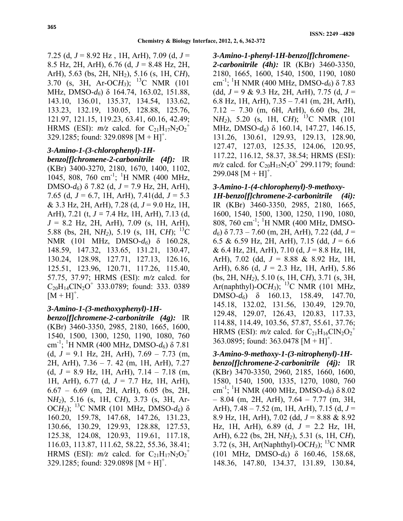7.25 (d, *J* = 8.92 Hz , 1H, ArH), 7.09 (d, *J* = 8.5 Hz, 2H, ArH), 6.76 (d, *J* = 8.48 Hz, 2H, ArH), 5.63 (bs, 2H, NH2), 5.16 (s, 1H, C*H*), 3.70 (s, 3H, Ar-OC*H3*); 13C NMR (101 MHz, DMSO-*d6*) δ 164.74, 163.02, 151.88, 143.10, 136.01, 135.37, 134.54, 133.62, 133.23, 132.19, 130.05, 128.88, 125.76, 121.97, 121.15, 119.23, 63.41, 60.16, 42.49; HRMS (ESI):  $m/z$  calcd. for  $C_{21}H_{17}N_2O_2^+$ 329.1285; found: 329.0898  $[M + H]$ <sup>+</sup>.

## *3-Amino-1-(3-chlorophenyl)-1H-*

*benzo[f]chromene-2-carbonitrile (4f):* IR (KBr) 3400-3270, 2180, 1670, 1400, 1102, 1045, 808, 760 cm<sup>-1</sup>; <sup>1</sup>H NMR (400 MHz, DMSO-*d6*) δ 7.82 (d, *J* = 7.9 Hz, 2H, ArH), 7.65 (d, *J* = 6.7, 1H, ArH), 7.41(dd, *J* = 5.3 & 3.3 Hz, 2H, ArH), 7.28 (d, *J* = 9.0 Hz, 1H, ArH), 7.21 (t, *J =* 7.4 Hz, 1H, ArH), 7.13 (d, *J* = 8.2 Hz, 2H, ArH), 7.09 (s, 1H, ArH), 5.88 (bs, 2H, NH<sub>2</sub>), 5.19 (s, 1H, CH); <sup>13</sup>C NMR (101 MHz, DMSO-*d6*) δ 160.28, 148.59, 147.32, 133.65, 131.21, 130.47, 130.24, 128.98, 127.71, 127.13, 126.16, 125.51, 123.96, 120.71, 117.26, 115.40, 57.75, 37.97; HRMS (ESI): *m/z* calcd. for  $C_{20}H_1$ <sub>4</sub>ClN<sub>2</sub>O<sup>+</sup> 333.0789; found: 333. 0389  $[M + H]^{+}$ .

## *3-Amino-1-(3-methoxyphenyl)-1H-*

*benzo[f]chromene-2-carbonitrile (4g):* IR (KBr) 3460-3350, 2985, 2180, 1665, 1600, 1540, 1500, 1300, 1250, 1190, 1080, 760 cm -1; 1 H NMR (400 MHz, DMSO-*d6*) δ 7.81 (d,  $J = 9.1$  Hz, 2H, ArH),  $7.69 - 7.73$  (m, 2H, ArH), 7.36 – 7. 42 (m, 1H, ArH), 7.27 (d,  $J = 8.9$  Hz, 1H, ArH),  $7.14 - 7.18$  (m, 1H, ArH), 6.77 (d, *J* = 7.7 Hz, 1H, ArH), 6.67 – 6.69 (m, 2H, ArH), 6.05 (bs, 2H, N*H2*), 5.16 (s, 1H, C*H*), 3.73 (s, 3H, Ar-OC*H3*); 13C NMR (101 MHz, DMSO-*d6*) δ 160.20, 159.78, 147.68, 147.26, 131.23, 130.66, 130.29, 129.93, 128.88, 127.53, 125.38, 124.08, 120.93, 119.61, 117.18, 116.03, 113.87, 111.62, 58.22, 55.36, 38.41; HRMS (ESI):  $m/z$  calcd. for  $C_{21}H_{17}N_2O_2^+$ 329.1285; found: 329.0898  $[M + H]$ <sup>+</sup>.

#### *3-Amino-1-phenyl-1H-benzo[f]chromene-*

*2-carbonitrile (4h):* IR (KBr) 3460-3350, 2180, 1665, 1600, 1540, 1500, 1190, 1080 cm -1; 1 H NMR (400 MHz, DMSO-*d6*) δ 7.83 (dd, *J* = 9 & 9.3 Hz, 2H, ArH), 7.75 (d, *J* = 6.8 Hz, 1H, ArH), 7.35 – 7.41 (m, 2H, ArH), 7.12 – 7.30 (m, 6H, ArH), 6.60 (bs, 2H, N*H*<sub>2</sub>), 5.20 (s, 1H, C*H*); <sup>13</sup>C NMR (101) MHz, DMSO-*d6*) δ 160.14, 147.27, 146.15, 131.26, 130.61, 129.93, 129.13, 128.90, 127.47, 127.03, 125.35, 124.06, 120.95, 117.22, 116.12, 58.37, 38.54; HRMS (ESI):  $m/z$  calcd. for  $C_{20}H_{15}N_2O^+$  299.1179; found:  $299.048$  [M + H]<sup>+</sup>.

#### *3-Amino-1-(4-chlorophenyl)-9-methoxy-*

*1H-benzo[f]chromene-2-carbonitrile (4i):* IR (KBr) 3460-3350, 2985, 2180, 1665, 1600, 1540, 1500, 1300, 1250, 1190, 1080, 808, 760 cm<sup>-1</sup>; <sup>1</sup>H NMR (400 MHz, DMSO*d6*) δ 7.73 – 7.60 (m, 2H, ArH), 7.22 (dd, *J* = 6.5 & 6.59 Hz, 2H, ArH), 7.15 (dd, *J* = 6.6 & 6.4 Hz, 2H, ArH), 7.10 (d, *J* = 8.8 Hz, 1H, ArH), 7.02 (dd, *J* = 8.88 & 8.92 Hz, 1H, ArH), 6.86 (d, *J* = 2.3 Hz, 1H, ArH), 5.86 (bs, 2H, N*H2*), 5.10 (s, 1H, C*H*), 3.71 (s, 3H, Ar(naphthyl)-OC $H_3$ ); <sup>13</sup>C NMR (101 MHz, DMSO-*d6*) δ 160.13, 158.49, 147.70, 145.18, 132.02, 131.56, 130.49, 129.70, 129.48, 129.07, 126.43, 120.83, 117.33, 114.88, 114.49, 103.56, 57.87, 55.61, 37.76; HRMS (ESI):  $m/z$  calcd. for  $C_{21}H_{16}CIN_2O_2^+$ 363.0895; found: 363.0478  $[M + H]$ <sup>+</sup>.

## *3-Amino-9-methoxy-1-(3-nitrophenyl)-1Hbenzo[f]chromene-2-carbonitrile (4j):* IR (KBr) 3470-3350, 2960, 2185, 1660, 1600, 1580, 1540, 1500, 1335, 1270, 1080, 760 cm-1; 1 H NMR (400 MHz, DMSO-*d6*) δ 8.02  $-8.04$  (m, 2H, ArH),  $7.64 - 7.77$  (m, 3H, ArH), 7.48 – 7.52 (m, 1H, ArH), 7.15 (d, *J* = 8.9 Hz, 1H, ArH), 7.02 (dd, *J* = 8.88 & 8.92 Hz, 1H, ArH), 6.89 (d, *J* = 2.2 Hz, 1H, ArH), 6.22 (bs, 2H, N*H2*), 5.31 (s, 1H, C*H*), 3.72 (s, 3H, Ar(Naphthyl)-OC*H3*); 13C NMR (101 MHz, DMSO-*d6*) δ 160.46, 158.68, 148.36, 147.80, 134.37, 131.89, 130.84,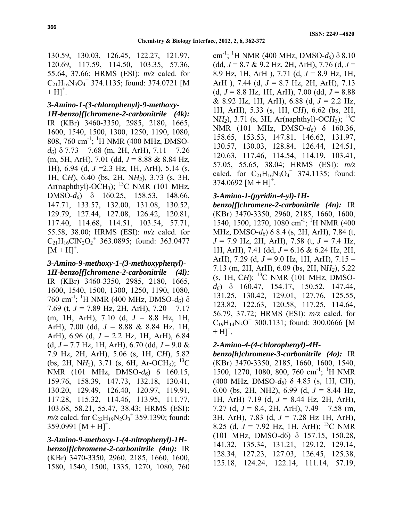130.59, 130.03, 126.45, 122.27, 121.97, 120.69, 117.59, 114.50, 103.35, 57.36, 55.64, 37.66; HRMS (ESI): *m/z* calcd. for  $C_{21}H_{16}N_3O_4^+$  374.1135; found: 374.0721 [M  $+ H$ ]<sup>+</sup>.

#### *3-Amino-1-(3-chlorophenyl)-9-methoxy-*

*1H-benzo[f]chromene-2-carbonitrile (4k):* IR (KBr) 3460-3350, 2985, 2180, 1665, 1600, 1540, 1500, 1300, 1250, 1190, 1080, 808, 760 cm<sup>-1</sup>; <sup>1</sup>H NMR (400 MHz, DMSO*d6*) δ 7.73 – 7.68 (m, 2H, ArH), 7.11 – 7.26 (m, 5H, ArH), 7.01 (dd, *J* = 8.88 & 8.84 Hz, 1H), 6.94 (d, *J* =2.3 Hz, 1H, ArH), 5.14 (s, 1H, C*H*), 6.40 (bs, 2H, N*H2*), 3.73 (s, 3H, Ar(naphthyl)-OCH<sub>3</sub>); <sup>13</sup>C NMR (101 MHz, DMSO-*d6*) δ 160.25, 158.53, 148.66, 147.71, 133.57, 132.00, 131.08, 130.52, 129.79, 127.44, 127.08, 126.42, 120.81, 117.40, 114.68, 114.51, 103.54, 57.71, 55.58, 38.00; HRMS (ESI): *m/z* calcd. for  $C_{21}H_{16}CIN_{2}O_{2}^{+}$  363.0895; found: 363.0477  $[M + H]^{+}$ .

*3-Amino-9-methoxy-1-(3-methoxyphenyl)- 1H-benzo[f]chromene-2-carbonitrile (4l):* IR (KBr) 3460-3350, 2985, 2180, 1665, 1600, 1540, 1500, 1300, 1250, 1190, 1080, 760 cm-1; 1 H NMR (400 MHz, DMSO-*d6*) δ 7.69 (t, *J* = 7.89 Hz, 2H, ArH), 7.20 – 7.17 (m, 1H, ArH), 7.10 (d, *J* = 8.8 Hz, 1H, ArH), 7.00 (dd, *J* = 8.88 & 8.84 Hz, 1H, ArH), 6.96 (d, *J* = 2.2 Hz, 1H, ArH), 6.84 (d, *J* = 7.7 Hz, 1H, ArH), 6.70 (dd, *J* = 9.0 & 7.9 Hz, 2H, ArH), 5.06 (s, 1H, C*H*), 5.82 (bs, 2H, NH<sub>2</sub>), 3.71 (s, 6H, Ar-OCH<sub>3</sub>); <sup>13</sup>C NMR (101 MHz, DMSO-*d6*) δ 160.15, 159.76, 158.39, 147.73, 132.18, 130.41, 130.20, 129.49, 126.40, 120.97, 119.91, 117.28, 115.32, 114.46, 113.95, 111.77, 103.68, 58.21, 55.47, 38.43; HRMS (ESI):  $m/z$  calcd. for  $C_{22}H_{19}N_2O_3^+$  359.1390; found:  $359.0991 [M + H]<sup>+</sup>$ .

*3-Amino-9-methoxy-1-(4-nitrophenyl)-1Hbenzo[f]chromene-2-carbonitrile (4m):* IR (KBr) 3470-3350, 2960, 2185, 1660, 1600, 1580, 1540, 1500, 1335, 1270, 1080, 760

cm-1; 1 H NMR (400 MHz, DMSO-*d6*) δ 8.10 (dd, *J* = 8.7 & 9.2 Hz, 2H, ArH), 7.76 (d, *J* = 8.9 Hz, 1H, ArH ), 7.71 (d, *J* = 8.9 Hz, 1H, ArH ), 7.44 (d, *J* = 8.7 Hz, 2H, ArH), 7.13 (d,  $J = 8.8$  Hz, 1H, ArH), 7.00 (dd,  $J = 8.88$ ) & 8.92 Hz, 1H, ArH), 6.88 (d, *J* = 2.2 Hz, 1H, ArH), 5.33 (s, 1H, C*H*), 6.62 (bs, 2H, N*H2*), 3.71 (s, 3H, Ar(naphthyl)-OC*H3*); 13C NMR (101 MHz, DMSO-*d6*) δ 160.36, 158.65, 153.53, 147.81, 146.62, 131.97, 130.57, 130.03, 128.84, 126.44, 124.51, 120.63, 117.46, 114.54, 114.19, 103.41, 57.05, 55.65, 38.04; HRMS (ESI): *m/z* calcd. for  $C_{21}H_{16}N_3O_4^+$  374.1135; found:  $374.0692 [M + H]^{+}$ .

#### *3-Amino-1-(pyridin-4-yl)-1H-*

*benzo[f]chromene-2-carbonitrile (4n):* IR (KBr) 3470-3350, 2960, 2185, 1660, 1600, 1540, 1500, 1270, 1080 cm<sup>-1</sup>; <sup>1</sup>H NMR (400) MHz, DMSO-*d6*) δ 8.4 (s, 2H, ArH), 7.84 (t, *J* = 7.9 Hz, 2H, ArH), 7.58 (t, *J* = 7.4 Hz, 1H, ArH), 7.41 (dd, *J* = 6.16 & 6.24 Hz, 2H, ArH), 7.29 (d, *J* = 9.0 Hz, 1H, ArH), 7.15 – 7.13 (m, 2H, ArH), 6.09 (bs, 2H, N*H2*), 5.22 (s, 1H, C*H*); 13C NMR (101 MHz, DMSO*d6*) δ 160.47, 154.17, 150.52, 147.44, 131.25, 130.42, 129.01, 127.76, 125.55, 123.82, 122.63, 120.58, 117.25, 114.64, 56.79, 37.72; HRMS (ESI): *m/z* calcd. for  $C_{19}H_{14}N_3O^+$  300.1131; found: 300.0666 [M  $+[H]^+$ .

## *2-Amino-4-(4-chlorophenyl)-4H-*

*benzo[h]chromene-3-carbonitrile (4o):* IR (KBr) 3470-3350, 2185, 1660, 1600, 1540, 1500, 1270, 1080, 800, 760 cm<sup>-1</sup>; <sup>1</sup>H NMR (400 MHz, DMSO-*d6*) δ 4.85 (s, 1H, CH), 6.00 (bs, 2H, NH2), 6.99 (d, *J* = 8.44 Hz, 1H, ArH) 7.19 (d, *J* = 8.44 Hz, 2H, ArH), 7.27 (d, *J* = 8.4, 2H, ArH), 7.49 – 7.58 (m, 3H, ArH), 7.83 (d, *J* = 7.28 Hz 1H, ArH), 8.25 (d,  $J = 7.92$  Hz, 1H, ArH); <sup>13</sup>C NMR (101 MHz, DMSO-d6) δ 157.15, 150.28, 141.32, 135.34, 131.21, 129.12, 129.14, 128.34, 127.23, 127.03, 126.45, 125.38, 125.18, 124.24, 122.14, 111.14, 57.19,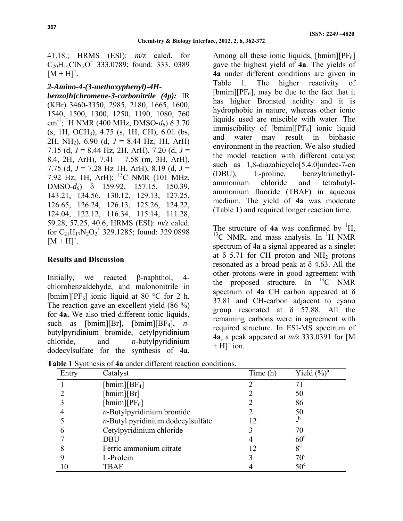41.18.; HRMS (ESI): *m/z* calcd. for  $C_{20}H_1$ <sub>4</sub>ClN<sub>2</sub>O<sup>+</sup> 333.0789; found: 333. 0389  $[M + H]^{+}$ .

#### *2-Amino-4-(3-methoxyphenyl)-4H-*

*benzo[h]chromene-3-carbonitrile (4p):* IR (KBr) 3460-3350, 2985, 2180, 1665, 1600, 1540, 1500, 1300, 1250, 1190, 1080, 760 cm -1; 1 H NMR (400 MHz, DMSO-*d6*) δ 3.70 (s, 1H, OCH3), 4.75 (s, 1H, CH), 6.01 (bs, 2H, NH2), 6.90 (d, *J* = 8.44 Hz, 1H, ArH) 7.15 (d, *J* = 8.44 Hz, 2H, ArH), 7.20 (d, *J* = 8.4, 2H, ArH), 7.41 – 7.58 (m, 3H, ArH), 7.75 (d, *J* = 7.28 Hz 1H, ArH), 8.19 (d, *J* = 7.92 Hz, 1H, ArH); 13C NMR (101 MHz, DMSO-*d6*) δ 159.92, 157.15, 150.39, 143.21, 134.56, 130.12, 129.13, 127.25, 126.65, 126.24, 126.13, 125.26, 124.22, 124.04, 122.12, 116.34, 115.14, 111.28, 59.28, 57.25, 40.6; HRMS (ESI): *m/z* calcd. for  $C_{21}H_{17}N_2O_2$ <sup>+</sup> 329.1285; found: 329.0898  $[M + H]^{+}$ .

## **Results and Discussion**

Initially, we reacted β-naphthol, 4 chlorobenzaldehyde, and malononitrile in [bmim][ $PF_6$ ] ionic liquid at 80 °C for 2 h. The reaction gave an excellent yield (86 %) for **4a.** We also tried different ionic liquids, such as  $[bm][Br]$ ,  $[bm][BF_4]$ , *n*butylpyridinium bromide, cetylpyridinium chloride, and *n*-butylpyridinium dodecylsulfate for the synthesis of **4a**.

Among all these ionic liquids,  $[bmin][PF_6]$ gave the highest yield of **4a**. The yields of **4a** under different conditions are given in Table 1. The higher reactivity of [bmim][ $PF_6$ ], may be due to the fact that it has higher Bronsted acidity and it is hydrophobic in nature, whereas other ionic liquids used are miscible with water. The immiscibility of  $[bmin][PF_6]$  ionic liquid and water may result in biphasic environment in the reaction. We also studied the model reaction with different catalyst such as 1,8-diazabicyclo<sup>[5.4.0]</sup>undec-7-en (DBU), L-proline, benzyltrimethylammonium chloride and tetrabutylammonium fluoride (TBAF) in aqueous medium. The yield of **4a** was moderate (Table 1) and required longer reaction time.

The structure of  $4a$  was confirmed by <sup>1</sup>H,  $^{13}$ C NMR, and mass analysis. In  $^{1}$ H NMR spectrum of **4a** a signal appeared as a singlet at  $\delta$  5.71 for CH proton and NH<sub>2</sub> protons resonated as a broad peak at  $\delta$  4.63. All the other protons were in good agreement with the proposed structure. In  ${}^{13}C$  NMR spectrum of **4a** CH carbon appeared at δ 37.81 and CH-carbon adjacent to cyano group resonated at  $\delta$  57.88. All the remaining carbons were in agreement with required structure. In ESI-MS spectrum of **4a**, a peak appeared at *m/z* 333.0391 for [M  $+[H]^+$  ion.

| Entry | Catalyst       | Time(h) | Yield $(\%)^a$ |
|-------|----------------|---------|----------------|
|       | $[bmin][BF_4]$ |         |                |
|       | [bmin][Br]     |         | ◡◡             |

**Table 1** Synthesis of **4a** under different reaction conditions.

| Luu, | Samiyot                              | $1 \, \text{m} \times 11$ | $1$ IVIU ( $70$ ) |
|------|--------------------------------------|---------------------------|-------------------|
|      | $[bmin][BF_4]$                       |                           |                   |
|      | [bmin][Br]                           |                           | 50                |
|      | [bmim][ $PF_6$ ]                     |                           | 86                |
|      | $n$ -Butylpyridinium bromide         |                           | 50                |
|      | $n$ -Butyl pyridinium dodecylsulfate |                           |                   |
|      | Cetylpyridinium chloride             |                           | 70                |
|      | <b>DBU</b>                           |                           | $60^{\circ}$      |
|      | Ferric ammonium citrate              |                           | $8^{\circ}$       |
|      | L-Prolein                            |                           | $70^{\circ}$      |
| ۱0   | TBAF                                 |                           | $50^{\circ}$      |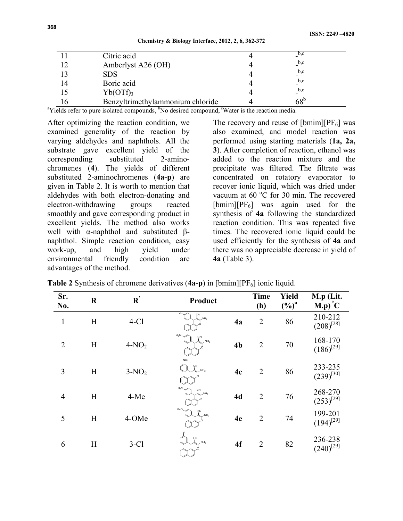|  | Chemistry & Biology Interface, 2012, 2, 6, 362-372 |  |  |
|--|----------------------------------------------------|--|--|
|--|----------------------------------------------------|--|--|

| Citric acid                      | b, c                      |
|----------------------------------|---------------------------|
| Amberlyst A26 (OH)               | $_{\circ}$ b,c            |
| <b>SDS</b>                       | $_{\circ}$ <sub>b,c</sub> |
| Boric acid                       | $_{\rm b,c}$              |
| $Yb(OTf)$ <sub>3</sub>           | b,c                       |
| Benzyltrimethylammonium chloride | $68^{\rm b}$              |

<sup>a</sup>Yields refer to pure isolated compounds, <sup>b</sup>No desired compound, <sup>c</sup>Water is the reaction media.

After optimizing the reaction condition, we examined generality of the reaction by varying aldehydes and naphthols. All the substrate gave excellent yield of the corresponding substituted 2-aminochromenes (**4**). The yields of different substituted 2-aminochromenes (**4a-p**) are given in Table 2. It is worth to mention that aldehydes with both electron-donating and electron-withdrawing groups reacted smoothly and gave corresponding product in excellent yields. The method also works well with α-naphthol and substituted βnaphthol. Simple reaction condition, easy work-up, and high yield under environmental friendly condition are advantages of the method.

The recovery and reuse of  $[bmin][PF_6]$  was also examined, and model reaction was performed using starting materials (**1a, 2a, 3**). After completion of reaction, ethanol was added to the reaction mixture and the precipitate was filtered. The filtrate was concentrated on rotatory evaporator to recover ionic liquid, which was dried under vacuum at  $60^{\circ}$ C for 30 min. The recovered  $[bmin][PF_6]$  was again used for the synthesis of **4a** following the standardized reaction condition. This was repeated five times. The recovered ionic liquid could be used efficiently for the synthesis of **4a** and there was no appreciable decrease in yield of **4a** (Table 3).

**Table 2** Synthesis of chromene derivatives (4a-p) in [bmim][PF<sub>6</sub>] ionic liquid.

| Sr.<br>No.     | $\mathbf R$ | ${\bf R}^{'}$ | Product                                  |                | <b>Time</b><br>(h) | Yield<br>$(\frac{6}{6})^a$ | M.p (Lit.<br>$M.p)^{\circ}C$ |
|----------------|-------------|---------------|------------------------------------------|----------------|--------------------|----------------------------|------------------------------|
| $\mathbf{1}$   | H           | $4-C1$        | CI.<br>ÇN<br>$NH_2$                      | 4a             | $\overline{2}$     | 86                         | 210-212<br>$(208)^{[28]}$    |
| $\overline{2}$ | H           | $4-NO2$       | $O_2N \sim$<br>CN<br>$-NH2$              | 4 <sub>b</sub> | $\overline{2}$     | 70                         | 168-170<br>$(186)^{[29]}$    |
| 3              | H           | $3-NO2$       | NO <sub>2</sub><br>CN<br>NH <sub>2</sub> | 4c             | $\overline{2}$     | 86                         | 233-235<br>$(239)^{[30]}$    |
| $\overline{4}$ | H           | 4-Me          | $H_3C$<br>CN<br>.<br>NH <sub>2</sub>     | 4d             | $\overline{2}$     | 76                         | 268-270<br>$(253)^{[29]}$    |
| 5              | H           | 4-OMe         | MeO,<br>ÇN<br>$\mathsf{NH}_2$            | 4e             | $\overline{2}$     | 74                         | 199-201<br>$(194)^{[29]}$    |
| 6              | H           | $3-C1$        | Çl<br>CN<br>NH <sub>2</sub>              | 4f             | $\overline{2}$     | 82                         | 236-238<br>$(240)^{[29]}$    |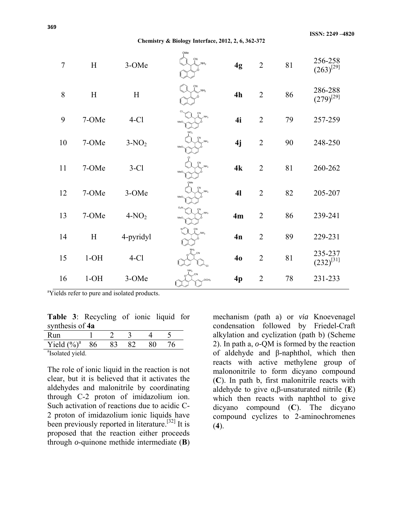**Chemistry & Biology Interface, 2012, 2, 6, 362-372** 

| $\overline{7}$ | H                         | 3-OMe     | OMe<br>CN<br>NH <sub>2</sub>         | 4g | $\overline{2}$ | 81 | 256-258<br>$(263)^{[29]}$ |
|----------------|---------------------------|-----------|--------------------------------------|----|----------------|----|---------------------------|
| 8              | $\boldsymbol{\mathrm{H}}$ | H         | CN<br>$\overline{M}$ NH <sub>2</sub> | 4h | $\overline{2}$ | 86 | 286-288<br>$(279)^{[29]}$ |
| 9              | 7-OMe                     | $4-C1$    | NH <sub>2</sub><br>MeO.              | 4i | $\overline{2}$ | 79 | 257-259                   |
| 10             | 7-OMe                     | $3-NO2$   | ÇN<br>NH <sub>2</sub><br>MeO-        | 4j | $\overline{2}$ | 90 | 248-250                   |
| 11             | 7-OMe                     | $3-C1$    | CN<br>NH <sub>2</sub><br>MeO,        | 4k | $\overline{2}$ | 81 | 260-262                   |
| 12             | 7-OMe                     | 3-OMe     | CN<br>NH <sub>2</sub><br>MeO.        | 41 | $\overline{2}$ | 82 | 205-207                   |
| 13             | 7-OMe                     | $4-NO2$   | $O_2N$<br>NH <sub>2</sub><br>MeO.    | 4m | $\overline{2}$ | 86 | 239-241                   |
| 14             | H                         | 4-pyridyl | NH <sub>2</sub>                      | 4n | $\overline{2}$ | 89 | 229-231                   |
| 15             | $1-OH$                    | $4-C1$    |                                      | 40 | $\overline{2}$ | 81 | 235-237<br>$(232)^{[31]}$ |
| 16             | $1-OH$                    | 3-OMe     | OCH <sub>3</sub>                     | 4p | $\overline{2}$ | 78 | 231-233                   |

<sup>a</sup>Yields refer to pure and isolated products.

**Table 3**: Recycling of ionic liquid for synthesis of **4a**

| Run                          |    |  |  |  |  |  |
|------------------------------|----|--|--|--|--|--|
| Yield $(\%)^a$               | 86 |  |  |  |  |  |
| <sup>a</sup> Isolated yield. |    |  |  |  |  |  |

The role of ionic liquid in the reaction is not clear, but it is believed that it activates the aldehydes and malonitrile by coordinating through C-2 proton of imidazolium ion. Such activation of reactions due to acidic C-2 proton of imidazolium ionic liquids have been previously reported in literature.<sup>[32]</sup> It is proposed that the reaction either proceeds through *o*-quinone methide intermediate (**B**) mechanism (path a) or *via* Knoevenagel condensation followed by Friedel-Craft alkylation and cyclization (path b) (Scheme 2). In path a, *o*-QM is formed by the reaction of aldehyde and β-naphthol, which then reacts with active methylene group of malononitrile to form dicyano compound (**C**). In path b, first malonitrile reacts with aldehyde to give α,β-unsaturated nitrile (**E**) which then reacts with naphthol to give dicyano compound (**C**). The dicyano compound cyclizes to 2-aminochromenes (**4**).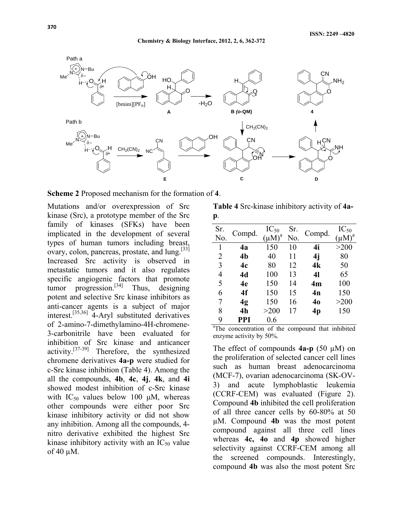

**Scheme 2** Proposed mechanism for the formation of **4**.

Mutations and/or overexpression of Src kinase (Src), a prototype member of the Src family of kinases (SFKs) have been implicated in the development of several types of human tumors including breast, ovary, colon, pancreas, prostate, and lung.[33] Increased Src activity is observed in metastatic tumors and it also regulates specific angiogenic factors that promote tumor progression. $^{[34]}$  Thus, designing potent and selective Src kinase inhibitors as anti-cancer agents is a subject of major interest.<sup>[35,36]</sup> 4-Aryl substituted derivatives of 2-amino-7-dimethylamino-4H-chromene-3-carbonitrile have been evaluated for inhibition of Src kinase and anticancer activity.[37-39] Therefore, the synthesized chromene derivatives **4a-p** were studied for c-Src kinase inhibition (Table 4). Among the all the compounds, **4b**, **4c**, **4j**, **4k**, and **4i** showed modest inhibition of c-Src kinase with  $IC_{50}$  values below 100 μM, whereas other compounds were either poor Src kinase inhibitory activity or did not show any inhibition. Among all the compounds, 4 nitro derivative exhibited the highest Src kinase inhibitory activity with an  $IC_{50}$  value of 40 µM.

**Table 4** Src-kinase inhibitory activity of **4ap**.

| Sr.              | Compd.                                       | $IC_{50}$   | Sr. | Compd. | $IC_{50}$ |
|------------------|----------------------------------------------|-------------|-----|--------|-----------|
| No.              |                                              | $(\mu M)^a$ | No. |        |           |
| 1                | 4a                                           | 150         | 10  | 4i     | >200      |
| 2                | 4 <sub>b</sub>                               | 40          | 11  | 4j     | 80        |
| 3                | 4c                                           | 80          | 12  | 4k     | 50        |
| 4                | 4d                                           | 100         | 13  | 41     | 65        |
| 5                | 4e                                           | 150         | 14  | 4m     | 100       |
| 6                | 4f                                           | 150         | 15  | 4n     | 150       |
| 7                | 4g                                           | 150         | 16  | 40     | >200      |
| 8                | 4 <sub>h</sub>                               | >200        | 17  | 4p     | 150       |
| 9                | PPI                                          | 0.6         |     |        |           |
| <sup>a</sup> The | concentration of the compound that inhibited |             |     |        |           |

enzyme activity by 50%.

The effect of compounds **4a-p** (50 µM) on the proliferation of selected cancer cell lines such as human breast adenocarcinoma (MCF-7), ovarian adenocarcinoma (SK-OV-3) and acute lymphoblastic leukemia (CCRF-CEM) was evaluated (Figure 2). Compound **4b** inhibited the cell proliferation of all three cancer cells by 60-80% at 50 µM. Compound **4b** was the most potent compound against all three cell lines whereas **4c, 4o** and **4p** showed higher selectivity against CCRF-CEM among all the screened compounds. Interestingly, compound **4b** was also the most potent Src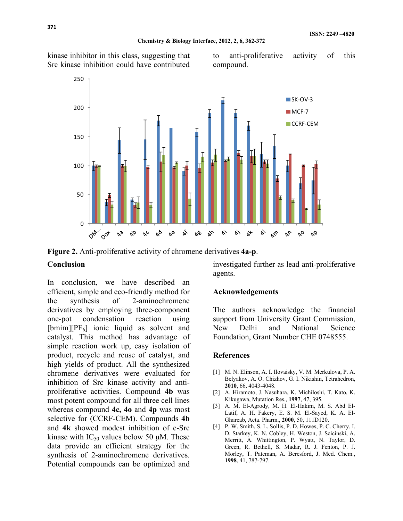#### **Chemistry & Biology Interface, 2012, 2, 6, 362-372**

kinase inhibitor in this class, suggesting that Src kinase inhibition could have contributed

to anti-proliferative activity of this compound.



**Figure 2.** Anti-proliferative activity of chromene derivatives **4a-p**.

#### **Conclusion**

In conclusion, we have described an efficient, simple and eco-friendly method for the synthesis of 2-aminochromene derivatives by employing three-component one-pot condensation reaction using  $[bmin][PF<sub>6</sub>]$  ionic liquid as solvent and catalyst. This method has advantage of simple reaction work up, easy isolation of product, recycle and reuse of catalyst, and high yields of product. All the synthesized chromene derivatives were evaluated for inhibition of Src kinase activity and antiproliferative activities. Compound **4b** was most potent compound for all three cell lines whereas compound **4c, 4o** and **4p** was most selective for (CCRF-CEM). Compounds **4b** and **4k** showed modest inhibition of c-Src kinase with  $IC_{50}$  values below 50 μM. These data provide an efficient strategy for the synthesis of 2-aminochromene derivatives. Potential compounds can be optimized and

investigated further as lead anti-proliferative agents.

#### **Acknowledgements**

The authors acknowledge the financial support from University Grant Commission, New Delhi and National Science Foundation, Grant Number CHE 0748555.

#### **References**

- [1] M. N. Elinson, A. I. Ilovaisky, V. M. Merkulova, P. A. Belyakov, A. O. Chizhov, G. I. Nikishin, Tetrahedron, **2010**, 66, 4043-4048.
- [2] A. Hiramoto, J. Nasuhara, K. Michiloshi, T. Kato, K. Kikugawa, Mutation Res., **1997**, 47, 395.
- [3] A. M. El-Agrody, M. H. El-Hakim, M. S. Abd El-Latif, A. H. Fakery, E. S. M. El-Sayed, K. A. El-Ghareab, Acta. Pharm., **2000**, 50, 111D120.
- [4] P. W. Smith, S. L. Sollis, P. D. Howes, P. C. Cherry, I. D. Starkey, K. N. Cobley, H. Weston, J. Scicinski, A. Merritt, A. Whittington, P. Wyatt, N. Taylor, D. Green, R. Bethell, S. Madar, R. J. Fenton, P. J. Morley, T. Pateman, A. Beresford, J. Med. Chem., **1998**, 41, 787-797.